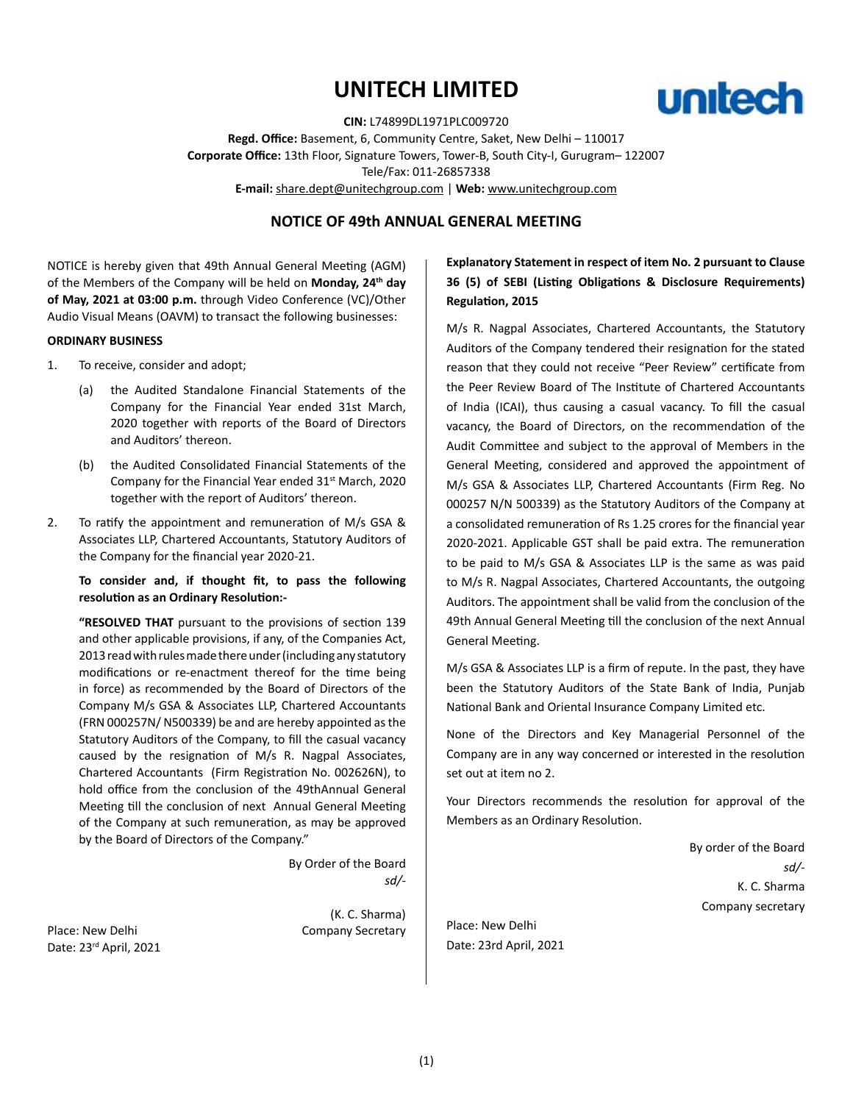# **UNITECH LIMITED**



**CIN:** L74899DL1971PLC009720 **Regd. Office:** Basement, 6, Community Centre, Saket, New Delhi – 110017 **Corporate Office:** 13th Floor, Signature Towers, Tower-B, South City-I, Gurugram– 122007 Tele/Fax: 011-26857338 **E-mail:** share.dept@unitechgroup.com | **Web:** www.unitechgroup.com

# **NOTICE OF 49th ANNUAL GENERAL MEETING**

NOTICE is hereby given that 49th Annual General Meeting (AGM) of the Members of the Company will be held on **Monday, 24th day of May, 2021 at 03:00 p.m.** through Video Conference (VC)/Other Audio Visual Means (OAVM) to transact the following businesses:

#### **ORDINARY BUSINESS**

- 1. To receive, consider and adopt;
	- (a) the Audited Standalone Financial Statements of the Company for the Financial Year ended 31st March, 2020 together with reports of the Board of Directors and Auditors' thereon.
	- (b) the Audited Consolidated Financial Statements of the Company for the Financial Year ended 31<sup>st</sup> March, 2020 together with the report of Auditors' thereon.
- 2. To ratify the appointment and remuneration of M/s GSA & Associates LLP, Chartered Accountants, Statutory Auditors of the Company for the financial year 2020-21.

# **To consider and, if thought fit, to pass the following resolution as an Ordinary Resolution:-**

**"RESOLVED THAT** pursuant to the provisions of section 139 and other applicable provisions, if any, of the Companies Act, 2013 read with rules made there under (including any statutory modifications or re-enactment thereof for the time being in force) as recommended by the Board of Directors of the Company M/s GSA & Associates LLP, Chartered Accountants (FRN 000257N/ N500339) be and are hereby appointed as the Statutory Auditors of the Company, to fill the casual vacancy caused by the resignation of M/s R. Nagpal Associates, Chartered Accountants (Firm Registration No. 002626N), to hold office from the conclusion of the 49thAnnual General Meeting till the conclusion of next Annual General Meeting of the Company at such remuneration, as may be approved by the Board of Directors of the Company."

> By Order of the Board *sd/-*

Place: New Delhi **Company Secretary** Date: 23rd April, 2021

(K. C. Sharma)

# **Explanatory Statement in respect of item No. 2 pursuant to Clause 36 (5) of SEBI (Listing Obligations & Disclosure Requirements) Regulation, 2015**

M/s R. Nagpal Associates, Chartered Accountants, the Statutory Auditors of the Company tendered their resignation for the stated reason that they could not receive "Peer Review" certificate from the Peer Review Board of The Institute of Chartered Accountants of India (ICAI), thus causing a casual vacancy. To fill the casual vacancy, the Board of Directors, on the recommendation of the Audit Committee and subject to the approval of Members in the General Meeting, considered and approved the appointment of M/s GSA & Associates LLP, Chartered Accountants (Firm Reg. No 000257 N/N 500339) as the Statutory Auditors of the Company at a consolidated remuneration of Rs 1.25 crores for the financial year 2020-2021. Applicable GST shall be paid extra. The remuneration to be paid to M/s GSA & Associates LLP is the same as was paid to M/s R. Nagpal Associates, Chartered Accountants, the outgoing Auditors. The appointment shall be valid from the conclusion of the 49th Annual General Meeting till the conclusion of the next Annual General Meeting.

M/s GSA & Associates LLP is a firm of repute. In the past, they have been the Statutory Auditors of the State Bank of India, Punjab National Bank and Oriental Insurance Company Limited etc.

None of the Directors and Key Managerial Personnel of the Company are in any way concerned or interested in the resolution set out at item no 2.

Your Directors recommends the resolution for approval of the Members as an Ordinary Resolution.

> By order of the Board *sd/-* K. C. Sharma Company secretary

Place: New Delhi Date: 23rd April, 2021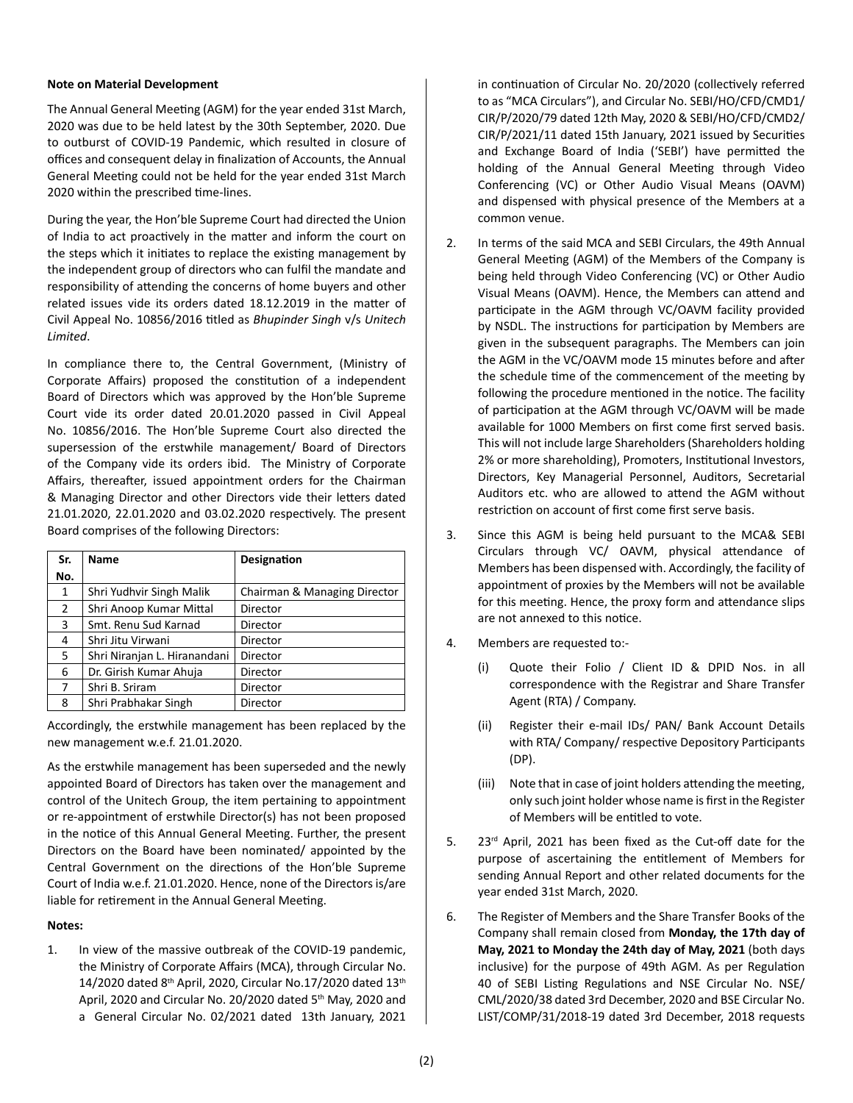## **Note on Material Development**

The Annual General Meeting (AGM) for the year ended 31st March, 2020 was due to be held latest by the 30th September, 2020. Due to outburst of COVID-19 Pandemic, which resulted in closure of offices and consequent delay in finalization of Accounts, the Annual General Meeting could not be held for the year ended 31st March 2020 within the prescribed time-lines.

During the year, the Hon'ble Supreme Court had directed the Union of India to act proactively in the matter and inform the court on the steps which it initiates to replace the existing management by the independent group of directors who can fulfil the mandate and responsibility of attending the concerns of home buyers and other related issues vide its orders dated 18.12.2019 in the matter of Civil Appeal No. 10856/2016 titled as *Bhupinder Singh* v/s *Unitech Limited*.

In compliance there to, the Central Government, (Ministry of Corporate Affairs) proposed the constitution of a independent Board of Directors which was approved by the Hon'ble Supreme Court vide its order dated 20.01.2020 passed in Civil Appeal No. 10856/2016. The Hon'ble Supreme Court also directed the supersession of the erstwhile management/ Board of Directors of the Company vide its orders ibid. The Ministry of Corporate Affairs, thereafter, issued appointment orders for the Chairman & Managing Director and other Directors vide their letters dated 21.01.2020, 22.01.2020 and 03.02.2020 respectively. The present Board comprises of the following Directors:

| Sr. | <b>Name</b>                                              | Designation |
|-----|----------------------------------------------------------|-------------|
| No. |                                                          |             |
| 1   | Shri Yudhvir Singh Malik<br>Chairman & Managing Director |             |
| 2   | Shri Anoop Kumar Mittal<br>Director                      |             |
| 3   | Smt. Renu Sud Karnad                                     | Director    |
| 4   | Shri Jitu Virwani<br>Director                            |             |
| 5   | Shri Niranjan L. Hiranandani<br>Director                 |             |
| 6   | Dr. Girish Kumar Ahuja<br>Director                       |             |
| 7   | Shri B. Sriram                                           | Director    |
| 8   | Shri Prabhakar Singh<br>Director                         |             |

Accordingly, the erstwhile management has been replaced by the new management w.e.f. 21.01.2020.

As the erstwhile management has been superseded and the newly appointed Board of Directors has taken over the management and control of the Unitech Group, the item pertaining to appointment or re-appointment of erstwhile Director(s) has not been proposed in the notice of this Annual General Meeting. Further, the present Directors on the Board have been nominated/ appointed by the Central Government on the directions of the Hon'ble Supreme Court of India w.e.f. 21.01.2020. Hence, none of the Directors is/are liable for retirement in the Annual General Meeting.

#### **Notes:**

1. In view of the massive outbreak of the COVID-19 pandemic, the Ministry of Corporate Affairs (MCA), through Circular No. 14/2020 dated 8th April, 2020, Circular No.17/2020 dated 13th April, 2020 and Circular No. 20/2020 dated 5th May, 2020 and a General Circular No. 02/2021 dated 13th January, 2021 in continuation of Circular No. 20/2020 (collectively referred to as "MCA Circulars"), and Circular No. SEBI/HO/CFD/CMD1/ CIR/P/2020/79 dated 12th May, 2020 & SEBI/HO/CFD/CMD2/ CIR/P/2021/11 dated 15th January, 2021 issued by Securities and Exchange Board of India ('SEBI') have permitted the holding of the Annual General Meeting through Video Conferencing (VC) or Other Audio Visual Means (OAVM) and dispensed with physical presence of the Members at a common venue.

- 2. In terms of the said MCA and SEBI Circulars, the 49th Annual General Meeting (AGM) of the Members of the Company is being held through Video Conferencing (VC) or Other Audio Visual Means (OAVM). Hence, the Members can attend and participate in the AGM through VC/OAVM facility provided by NSDL. The instructions for participation by Members are given in the subsequent paragraphs. The Members can join the AGM in the VC/OAVM mode 15 minutes before and after the schedule time of the commencement of the meeting by following the procedure mentioned in the notice. The facility of participation at the AGM through VC/OAVM will be made available for 1000 Members on first come first served basis. This will not include large Shareholders (Shareholders holding 2% or more shareholding), Promoters, Institutional Investors, Directors, Key Managerial Personnel, Auditors, Secretarial Auditors etc. who are allowed to attend the AGM without restriction on account of first come first serve basis.
- 3. Since this AGM is being held pursuant to the MCA& SEBI Circulars through VC/ OAVM, physical attendance of Members has been dispensed with. Accordingly, the facility of appointment of proxies by the Members will not be available for this meeting. Hence, the proxy form and attendance slips are not annexed to this notice.
- 4. Members are requested to:-
	- (i) Quote their Folio / Client ID & DPID Nos. in all correspondence with the Registrar and Share Transfer Agent (RTA) / Company.
	- (ii) Register their e-mail IDs/ PAN/ Bank Account Details with RTA/ Company/ respective Depository Participants (DP).
	- (iii) Note that in case of joint holders attending the meeting, only such joint holder whose name is first in the Register of Members will be entitled to vote.
- 5. 23<sup>rd</sup> April, 2021 has been fixed as the Cut-off date for the purpose of ascertaining the entitlement of Members for sending Annual Report and other related documents for the year ended 31st March, 2020.
- 6. The Register of Members and the Share Transfer Books of the Company shall remain closed from **Monday, the 17th day of May, 2021 to Monday the 24th day of May, 2021** (both days inclusive) for the purpose of 49th AGM. As per Regulation 40 of SEBI Listing Regulations and NSE Circular No. NSE/ CML/2020/38 dated 3rd December, 2020 and BSE Circular No. LIST/COMP/31/2018-19 dated 3rd December, 2018 requests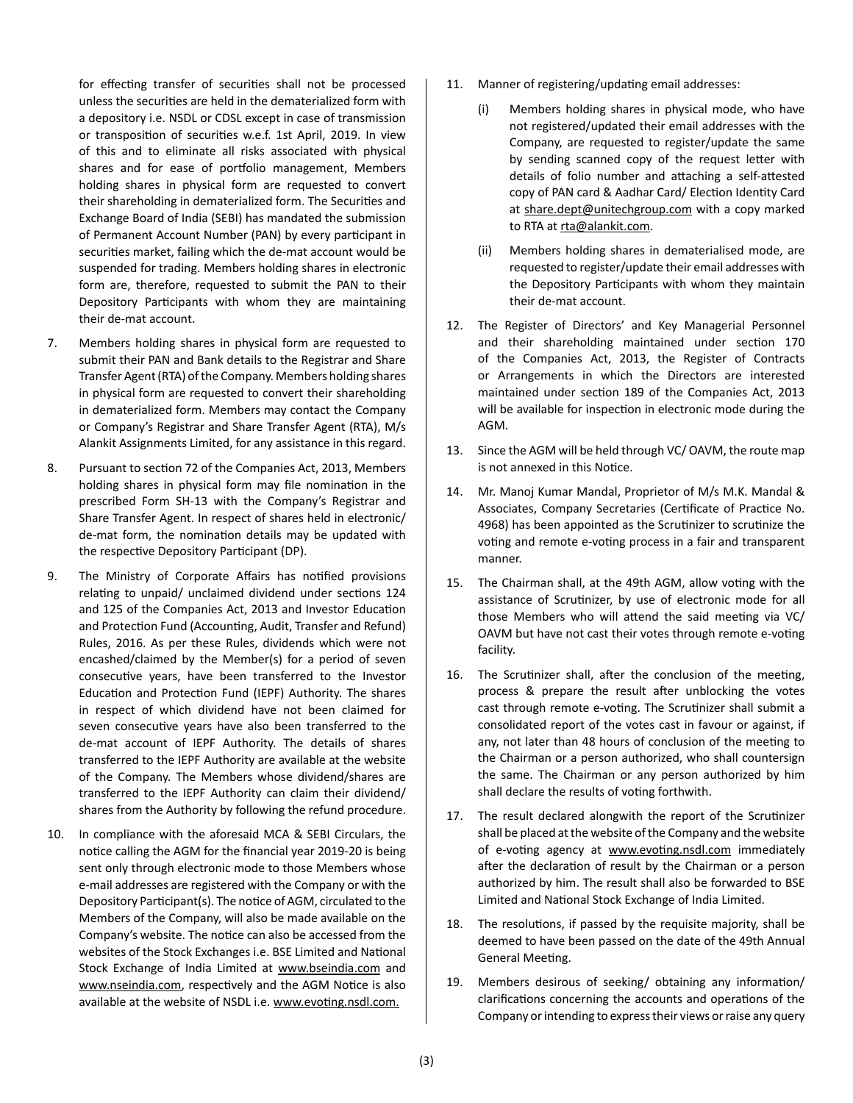for effecting transfer of securities shall not be processed unless the securities are held in the dematerialized form with a depository i.e. NSDL or CDSL except in case of transmission or transposition of securities w.e.f. 1st April, 2019. In view of this and to eliminate all risks associated with physical shares and for ease of portfolio management, Members holding shares in physical form are requested to convert their shareholding in dematerialized form. The Securities and Exchange Board of India (SEBI) has mandated the submission of Permanent Account Number (PAN) by every participant in securities market, failing which the de-mat account would be suspended for trading. Members holding shares in electronic form are, therefore, requested to submit the PAN to their Depository Participants with whom they are maintaining their de-mat account.

- 7. Members holding shares in physical form are requested to submit their PAN and Bank details to the Registrar and Share Transfer Agent (RTA) of the Company. Members holding shares in physical form are requested to convert their shareholding in dematerialized form. Members may contact the Company or Company's Registrar and Share Transfer Agent (RTA), M/s Alankit Assignments Limited, for any assistance in this regard.
- 8. Pursuant to section 72 of the Companies Act, 2013, Members holding shares in physical form may file nomination in the prescribed Form SH-13 with the Company's Registrar and Share Transfer Agent. In respect of shares held in electronic/ de-mat form, the nomination details may be updated with the respective Depository Participant (DP).
- 9. The Ministry of Corporate Affairs has notified provisions relating to unpaid/ unclaimed dividend under sections 124 and 125 of the Companies Act, 2013 and Investor Education and Protection Fund (Accounting, Audit, Transfer and Refund) Rules, 2016. As per these Rules, dividends which were not encashed/claimed by the Member(s) for a period of seven consecutive years, have been transferred to the Investor Education and Protection Fund (IEPF) Authority. The shares in respect of which dividend have not been claimed for seven consecutive years have also been transferred to the de-mat account of IEPF Authority. The details of shares transferred to the IEPF Authority are available at the website of the Company. The Members whose dividend/shares are transferred to the IEPF Authority can claim their dividend/ shares from the Authority by following the refund procedure.
- 10. In compliance with the aforesaid MCA & SEBI Circulars, the notice calling the AGM for the financial year 2019-20 is being sent only through electronic mode to those Members whose e-mail addresses are registered with the Company or with the Depository Participant(s). The notice of AGM, circulated to the Members of the Company, will also be made available on the Company's website. The notice can also be accessed from the websites of the Stock Exchanges i.e. BSE Limited and National Stock Exchange of India Limited at www.bseindia.com and www.nseindia.com, respectively and the AGM Notice is also available at the website of NSDL i.e. www.evoting.nsdl.com.
- 11. Manner of registering/updating email addresses:
	- Members holding shares in physical mode, who have not registered/updated their email addresses with the Company, are requested to register/update the same by sending scanned copy of the request letter with details of folio number and attaching a self-attested copy of PAN card & Aadhar Card/ Election Identity Card at share.dept@unitechgroup.com with a copy marked to RTA at rta@alankit.com.
	- (ii) Members holding shares in dematerialised mode, are requested to register/update their email addresses with the Depository Participants with whom they maintain their de-mat account.
- 12. The Register of Directors' and Key Managerial Personnel and their shareholding maintained under section 170 of the Companies Act, 2013, the Register of Contracts or Arrangements in which the Directors are interested maintained under section 189 of the Companies Act, 2013 will be available for inspection in electronic mode during the AGM.
- 13. Since the AGM will be held through VC/ OAVM, the route map is not annexed in this Notice.
- 14. Mr. Manoj Kumar Mandal, Proprietor of M/s M.K. Mandal & Associates, Company Secretaries (Certificate of Practice No. 4968) has been appointed as the Scrutinizer to scrutinize the voting and remote e-voting process in a fair and transparent manner.
- 15. The Chairman shall, at the 49th AGM, allow voting with the assistance of Scrutinizer, by use of electronic mode for all those Members who will attend the said meeting via VC/ OAVM but have not cast their votes through remote e-voting facility.
- 16. The Scrutinizer shall, after the conclusion of the meeting, process & prepare the result after unblocking the votes cast through remote e-voting. The Scrutinizer shall submit a consolidated report of the votes cast in favour or against, if any, not later than 48 hours of conclusion of the meeting to the Chairman or a person authorized, who shall countersign the same. The Chairman or any person authorized by him shall declare the results of voting forthwith.
- 17. The result declared alongwith the report of the Scrutinizer shall be placed at the website of the Company and the website of e-voting agency at www.evoting.nsdl.com immediately after the declaration of result by the Chairman or a person authorized by him. The result shall also be forwarded to BSE Limited and National Stock Exchange of India Limited.
- 18. The resolutions, if passed by the requisite majority, shall be deemed to have been passed on the date of the 49th Annual General Meeting.
- 19. Members desirous of seeking/ obtaining any information/ clarifications concerning the accounts and operations of the Company or intending to express their views or raise any query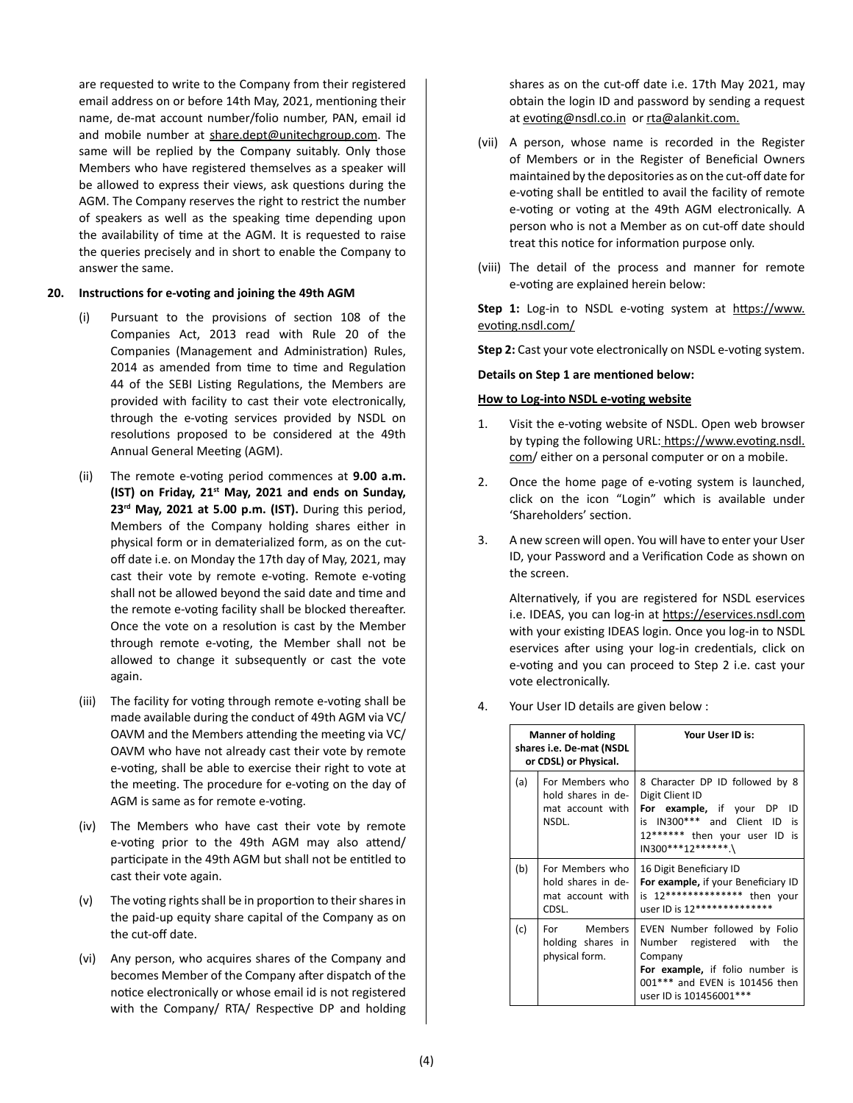are requested to write to the Company from their registered email address on or before 14th May, 2021, mentioning their name, de-mat account number/folio number, PAN, email id and mobile number at share.dept@unitechgroup.com. The same will be replied by the Company suitably. Only those Members who have registered themselves as a speaker will be allowed to express their views, ask questions during the AGM. The Company reserves the right to restrict the number of speakers as well as the speaking time depending upon the availability of time at the AGM. It is requested to raise the queries precisely and in short to enable the Company to answer the same.

#### **20. Instructions for e-voting and joining the 49th AGM**

- (i) Pursuant to the provisions of section 108 of the Companies Act, 2013 read with Rule 20 of the Companies (Management and Administration) Rules, 2014 as amended from time to time and Regulation 44 of the SEBI Listing Regulations, the Members are provided with facility to cast their vote electronically, through the e-voting services provided by NSDL on resolutions proposed to be considered at the 49th Annual General Meeting (AGM).
- (ii) The remote e-voting period commences at **9.00 a.m. (IST) on Friday, 21st May, 2021 and ends on Sunday, 23rd May, 2021 at 5.00 p.m. (IST).** During this period, Members of the Company holding shares either in physical form or in dematerialized form, as on the cutoff date i.e. on Monday the 17th day of May, 2021, may cast their vote by remote e-voting. Remote e-voting shall not be allowed beyond the said date and time and the remote e-voting facility shall be blocked thereafter. Once the vote on a resolution is cast by the Member through remote e-voting, the Member shall not be allowed to change it subsequently or cast the vote again.
- (iii) The facility for voting through remote e-voting shall be made available during the conduct of 49th AGM via VC/ OAVM and the Members attending the meeting via VC/ OAVM who have not already cast their vote by remote e-voting, shall be able to exercise their right to vote at the meeting. The procedure for e-voting on the day of AGM is same as for remote e-voting.
- (iv) The Members who have cast their vote by remote e-voting prior to the 49th AGM may also attend/ participate in the 49th AGM but shall not be entitled to cast their vote again.
- (v) The voting rights shall be in proportion to their shares in the paid-up equity share capital of the Company as on the cut-off date.
- (vi) Any person, who acquires shares of the Company and becomes Member of the Company after dispatch of the notice electronically or whose email id is not registered with the Company/ RTA/ Respective DP and holding

shares as on the cut-off date i.e. 17th May 2021, may obtain the login ID and password by sending a request at evoting@nsdl.co.in or rta@alankit.com.

- (vii) A person, whose name is recorded in the Register of Members or in the Register of Beneficial Owners maintained by the depositories as on the cut-off date for e-voting shall be entitled to avail the facility of remote e-voting or voting at the 49th AGM electronically. A person who is not a Member as on cut-off date should treat this notice for information purpose only.
- (viii) The detail of the process and manner for remote e-voting are explained herein below:

Step 1: Log-in to NSDL e-voting system at https://www. evoting.nsdl.com/

**Step 2:** Cast your vote electronically on NSDL e-voting system.

**Details on Step 1 are mentioned below:**

# **How to Log-into NSDL e-voting website**

- 1. Visit the e-voting website of NSDL. Open web browser by typing the following URL: https://www.evoting.nsdl. com/ either on a personal computer or on a mobile.
- 2. Once the home page of e-voting system is launched, click on the icon "Login" which is available under 'Shareholders' section.
- 3. A new screen will open. You will have to enter your User ID, your Password and a Verification Code as shown on the screen.

Alternatively, if you are registered for NSDL eservices i.e. IDEAS, you can log-in at https://eservices.nsdl.com with your existing IDEAS login. Once you log-in to NSDL eservices after using your log-in credentials, click on e-voting and you can proceed to Step 2 i.e. cast your vote electronically.

4. Your User ID details are given below :

| <b>Manner of holding</b><br>shares i.e. De-mat (NSDL<br>or CDSL) or Physical. |                                                                    | Your User ID is:                                                                                                                                                           |
|-------------------------------------------------------------------------------|--------------------------------------------------------------------|----------------------------------------------------------------------------------------------------------------------------------------------------------------------------|
| (a)                                                                           | For Members who<br>hold shares in de-<br>mat account with<br>NSDL. | 8 Character DP ID followed by 8<br>Digit Client ID<br>For example, if your DP<br>ID<br>is IN300*** and Client ID is<br>12****** then your user ID is<br>IN300***12******.\ |
| (b)                                                                           | For Members who<br>hold shares in de-<br>mat account with<br>CDSL. | 16 Digit Beneficiary ID<br>For example, if your Beneficiary ID<br>is 12************** then your<br>user ID is 12***************                                            |
| (c)                                                                           | For Members<br>holding shares in<br>physical form.                 | EVEN Number followed by Folio<br>Number registered with the<br>Company<br>For example, if folio number is<br>001*** and EVEN is 101456 then<br>user ID is 101456001***     |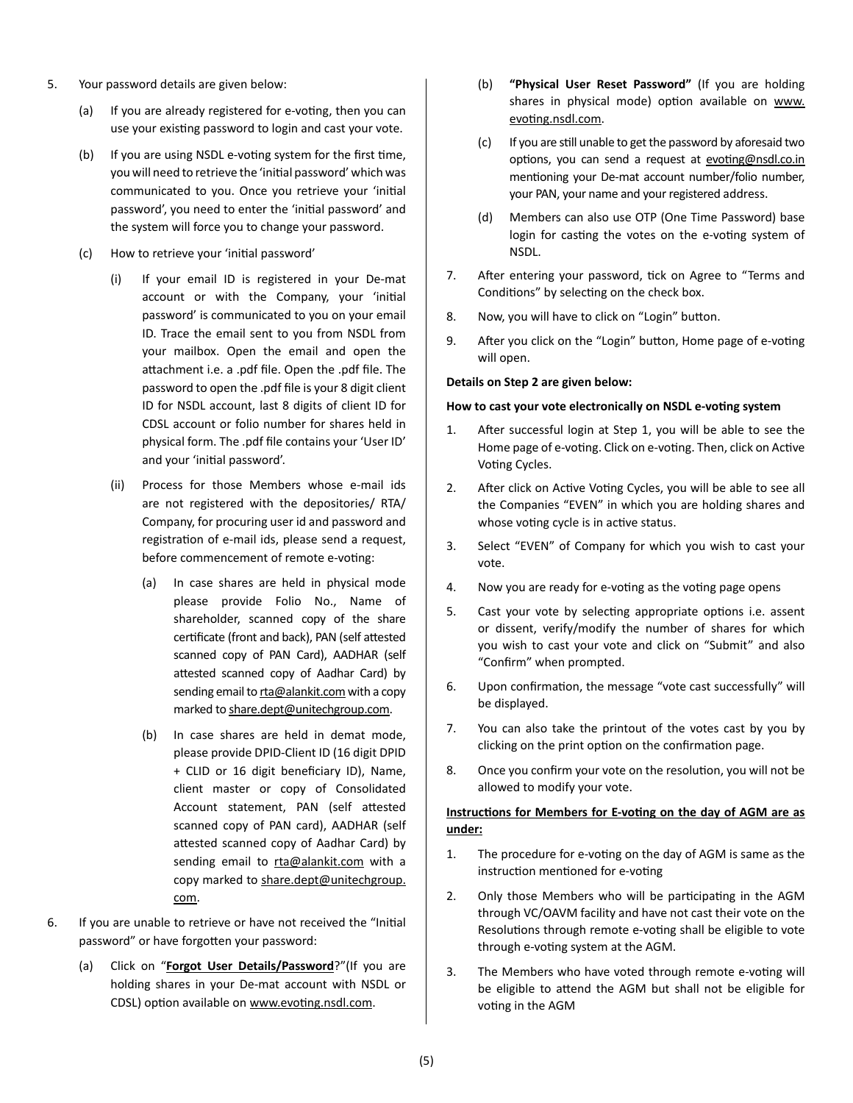- 5. Your password details are given below:
	- (a) If you are already registered for e-voting, then you can use your existing password to login and cast your vote.
	- (b) If you are using NSDL e-voting system for the first time, you will need to retrieve the 'initial password' which was communicated to you. Once you retrieve your 'initial password', you need to enter the 'initial password' and the system will force you to change your password.
	- (c) How to retrieve your 'initial password'
		- (i) If your email ID is registered in your De-mat account or with the Company, your 'initial password' is communicated to you on your email ID. Trace the email sent to you from NSDL from your mailbox. Open the email and open the attachment i.e. a .pdf file. Open the .pdf file. The password to open the .pdf file is your 8 digit client ID for NSDL account, last 8 digits of client ID for CDSL account or folio number for shares held in physical form. The .pdf file contains your 'User ID' and your 'initial password'.
		- (ii) Process for those Members whose e-mail ids are not registered with the depositories/ RTA/ Company, for procuring user id and password and registration of e-mail ids, please send a request, before commencement of remote e-voting:
			- (a) In case shares are held in physical mode please provide Folio No., Name of shareholder, scanned copy of the share certificate (front and back), PAN (self attested scanned copy of PAN Card), AADHAR (self attested scanned copy of Aadhar Card) by sending email to rta@alankit.com with a copy marked to share.dept@unitechgroup.com.
			- (b) In case shares are held in demat mode, please provide DPID-Client ID (16 digit DPID + CLID or 16 digit beneficiary ID), Name, client master or copy of Consolidated Account statement, PAN (self attested scanned copy of PAN card), AADHAR (self attested scanned copy of Aadhar Card) by sending email to rta@alankit.com with a copy marked to share.dept@unitechgroup. com.
- 6. If you are unable to retrieve or have not received the "Initial password" or have forgotten your password:
	- (a) Click on "**Forgot User Details/Password**?"(If you are holding shares in your De-mat account with NSDL or CDSL) option available on www.evoting.nsdl.com.
- (b) **"Physical User Reset Password"** (If you are holding shares in physical mode) option available on www. evoting.nsdl.com.
- (c) If you are still unable to get the password by aforesaid two options, you can send a request at evoting@nsdl.co.in mentioning your De-mat account number/folio number, your PAN, your name and your registered address.
- (d) Members can also use OTP (One Time Password) base login for casting the votes on the e-voting system of NSDL.
- 7. After entering your password, tick on Agree to "Terms and Conditions" by selecting on the check box.
- 8. Now, you will have to click on "Login" button.
- 9. After you click on the "Login" button, Home page of e-voting will open.

# **Details on Step 2 are given below:**

# **How to cast your vote electronically on NSDL e-voting system**

- 1. After successful login at Step 1, you will be able to see the Home page of e-voting. Click on e-voting. Then, click on Active Voting Cycles.
- 2. After click on Active Voting Cycles, you will be able to see all the Companies "EVEN" in which you are holding shares and whose voting cycle is in active status.
- 3. Select "EVEN" of Company for which you wish to cast your vote.
- 4. Now you are ready for e-voting as the voting page opens
- 5. Cast your vote by selecting appropriate options i.e. assent or dissent, verify/modify the number of shares for which you wish to cast your vote and click on "Submit" and also "Confirm" when prompted.
- 6. Upon confirmation, the message "vote cast successfully" will be displayed.
- 7. You can also take the printout of the votes cast by you by clicking on the print option on the confirmation page.
- 8. Once you confirm your vote on the resolution, you will not be allowed to modify your vote.

# **Instructions for Members for E-voting on the day of AGM are as under:**

- 1. The procedure for e-voting on the day of AGM is same as the instruction mentioned for e-voting
- 2. Only those Members who will be participating in the AGM through VC/OAVM facility and have not cast their vote on the Resolutions through remote e-voting shall be eligible to vote through e-voting system at the AGM.
- 3. The Members who have voted through remote e-voting will be eligible to attend the AGM but shall not be eligible for voting in the AGM